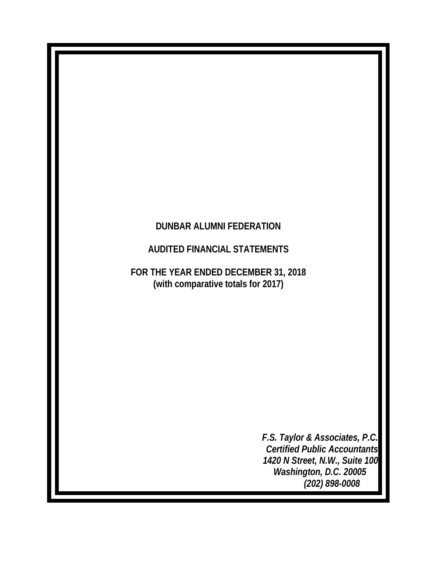# **DUNBAR ALUMNI FEDERATION**

# **AUDITED FINANCIAL STATEMENTS**

**FOR THE YEAR ENDED DECEMBER 31, 2018 (with comparative totals for 2017)**

> *F.S. Taylor & Associates, P.C. Certified Public Accountants 1420 N Street, N.W., Suite 100 Washington, D.C. 20005 (202) 898-0008*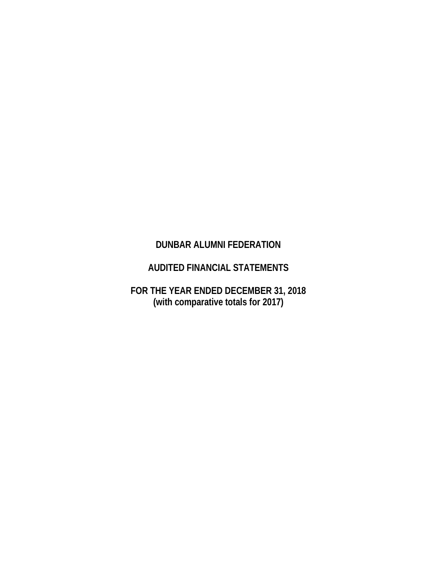## **DUNBAR ALUMNI FEDERATION**

# **AUDITED FINANCIAL STATEMENTS**

**FOR THE YEAR ENDED DECEMBER 31, 2018 (with comparative totals for 2017)**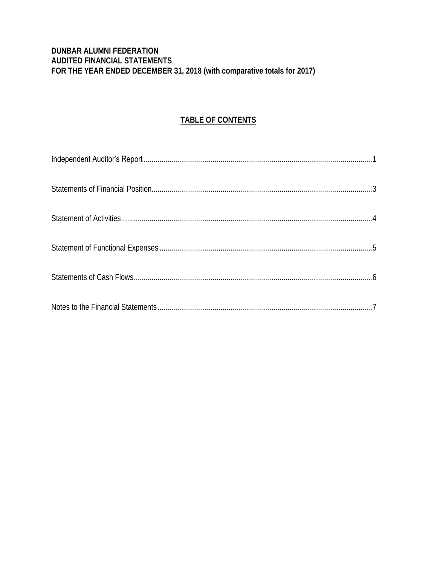### DUNBAR ALUMNI FEDERATION AUDITED FINANCIAL STATEMENTS FOR THE YEAR ENDED DECEMBER 31, 2018 (with comparative totals for 2017)

### TABLE OF CONTENTS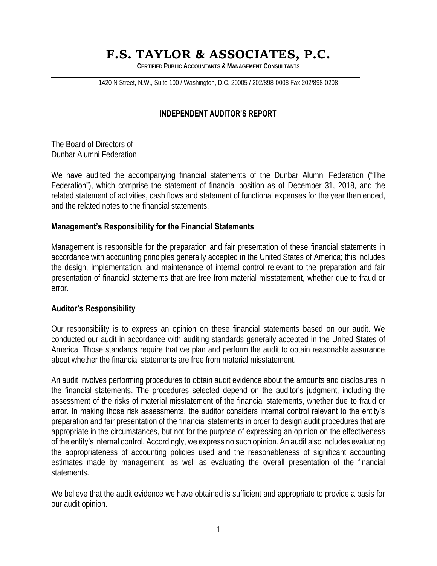# **F.S. TAYLOR & ASSOCIATES, P.C.**

**CERTIFIED PUBLIC ACCOUNTANTS & MANAGEMENT CONSULTANTS**

1420 N Street, N.W., Suite 100 / Washington, D.C. 20005 / 202/898-0008 Fax 202/898-0208

### **INDEPENDENT AUDITOR'S REPORT**

The Board of Directors of Dunbar Alumni Federation

We have audited the accompanying financial statements of the Dunbar Alumni Federation ("The Federation"), which comprise the statement of financial position as of December 31, 2018, and the related statement of activities, cash flows and statement of functional expenses for the year then ended, and the related notes to the financial statements.

### **Management's Responsibility for the Financial Statements**

Management is responsible for the preparation and fair presentation of these financial statements in accordance with accounting principles generally accepted in the United States of America; this includes the design, implementation, and maintenance of internal control relevant to the preparation and fair presentation of financial statements that are free from material misstatement, whether due to fraud or error.

#### **Auditor's Responsibility**

Our responsibility is to express an opinion on these financial statements based on our audit. We conducted our audit in accordance with auditing standards generally accepted in the United States of America. Those standards require that we plan and perform the audit to obtain reasonable assurance about whether the financial statements are free from material misstatement.

An audit involves performing procedures to obtain audit evidence about the amounts and disclosures in the financial statements. The procedures selected depend on the auditor's judgment, including the assessment of the risks of material misstatement of the financial statements, whether due to fraud or error. In making those risk assessments, the auditor considers internal control relevant to the entity's preparation and fair presentation of the financial statements in order to design audit procedures that are appropriate in the circumstances, but not for the purpose of expressing an opinion on the effectiveness of the entity's internal control. Accordingly, we express no such opinion. An audit also includes evaluating the appropriateness of accounting policies used and the reasonableness of significant accounting estimates made by management, as well as evaluating the overall presentation of the financial statements.

We believe that the audit evidence we have obtained is sufficient and appropriate to provide a basis for our audit opinion.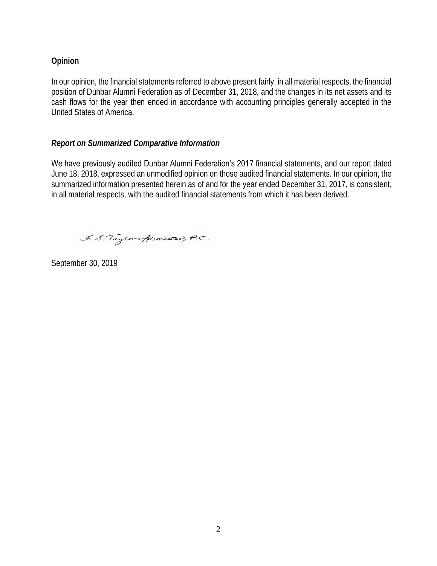### **Opinion**

In our opinion, the financial statements referred to above present fairly, in all material respects, the financial position of Dunbar Alumni Federation as of December 31, 2018, and the changes in its net assets and its cash flows for the year then ended in accordance with accounting principles generally accepted in the United States of America.

### *Report on Summarized Comparative Information*

We have previously audited Dunbar Alumni Federation's 2017 financial statements, and our report dated June 18, 2018, expressed an unmodified opinion on those audited financial statements. In our opinion, the summarized information presented herein as of and for the year ended December 31, 2017, is consistent, in all material respects, with the audited financial statements from which it has been derived.

F. S. Taylor of Associated, P.C.

September 30, 2019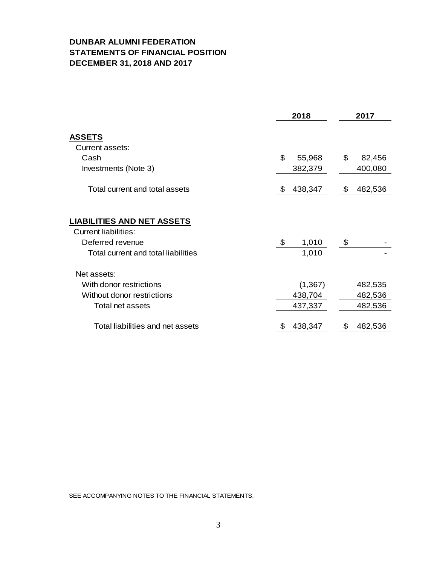### **DUNBAR ALUMNI FEDERATION STATEMENTS OF FINANCIAL POSITION DECEMBER 31, 2018 AND 2017**

|                                     |    | 2017     |               |
|-------------------------------------|----|----------|---------------|
| <b>ASSETS</b>                       |    |          |               |
| Current assets:                     |    |          |               |
| Cash                                | \$ | 55,968   | \$<br>82,456  |
| Investments (Note 3)                |    | 382,379  | 400,080       |
| Total current and total assets      | æ. | 438,347  | \$<br>482,536 |
| <b>LIABILITIES AND NET ASSETS</b>   |    |          |               |
| <b>Current liabilities:</b>         |    |          |               |
| Deferred revenue                    | \$ | 1,010    | \$            |
| Total current and total liabilities |    | 1,010    |               |
| Net assets:                         |    |          |               |
| With donor restrictions             |    | (1, 367) | 482,535       |
| Without donor restrictions          |    | 438,704  | 482,536       |
| Total net assets                    |    | 437,337  | 482,536       |
| Total liabilities and net assets    |    | 438,347  | 482,536       |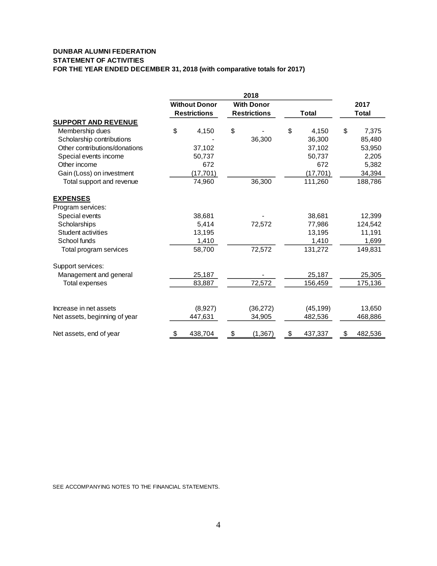#### **DUNBAR ALUMNI FEDERATION STATEMENT OF ACTIVITIES FOR THE YEAR ENDED DECEMBER 31, 2018 (with comparative totals for 2017)**

|                               |                                           |                     |    | 2018                |    |              |               |
|-------------------------------|-------------------------------------------|---------------------|----|---------------------|----|--------------|---------------|
|                               | <b>Without Donor</b><br><b>With Donor</b> |                     |    |                     |    |              | 2017          |
|                               |                                           | <b>Restrictions</b> |    | <b>Restrictions</b> |    | <b>Total</b> | <b>Total</b>  |
| <b>SUPPORT AND REVENUE</b>    |                                           |                     |    |                     |    |              |               |
| Membership dues               | \$                                        | 4,150               | \$ |                     | \$ | 4,150        | \$<br>7,375   |
| Scholarship contributions     |                                           |                     |    | 36,300              |    | 36,300       | 85,480        |
| Other contributions/donations |                                           | 37,102              |    |                     |    | 37,102       | 53,950        |
| Special events income         |                                           | 50,737              |    |                     |    | 50,737       | 2,205         |
| Other income                  |                                           | 672                 |    |                     |    | 672          | 5,382         |
| Gain (Loss) on investment     |                                           | (17, 701)           |    |                     |    | (17, 701)    | 34,394        |
| Total support and revenue     |                                           | 74,960              |    | 36,300              |    | 111,260      | 188,786       |
| <b>EXPENSES</b>               |                                           |                     |    |                     |    |              |               |
| Program services:             |                                           |                     |    |                     |    |              |               |
| Special events                |                                           | 38,681              |    |                     |    | 38,681       | 12,399        |
| Scholarships                  |                                           | 5,414               |    | 72,572              |    | 77,986       | 124,542       |
| Student activities            |                                           | 13,195              |    |                     |    | 13,195       | 11,191        |
| School funds                  |                                           | 1,410               |    |                     |    | 1,410        | 1,699         |
| Total program services        |                                           | 58,700              |    | 72,572              |    | 131,272      | 149,831       |
| Support services:             |                                           |                     |    |                     |    |              |               |
| Management and general        |                                           | 25,187              |    |                     |    | 25,187       | 25,305        |
| <b>Total expenses</b>         |                                           | 83,887              |    | 72,572              |    | 156,459      | 175,136       |
|                               |                                           |                     |    |                     |    |              |               |
| Increase in net assets        |                                           | (8,927)             |    | (36, 272)           |    | (45, 199)    | 13,650        |
| Net assets, beginning of year |                                           | 447,631             |    | 34,905              |    | 482,536      | 468,886       |
| Net assets, end of year       | \$                                        | 438,704             | \$ | (1, 367)            | \$ | 437,337      | \$<br>482,536 |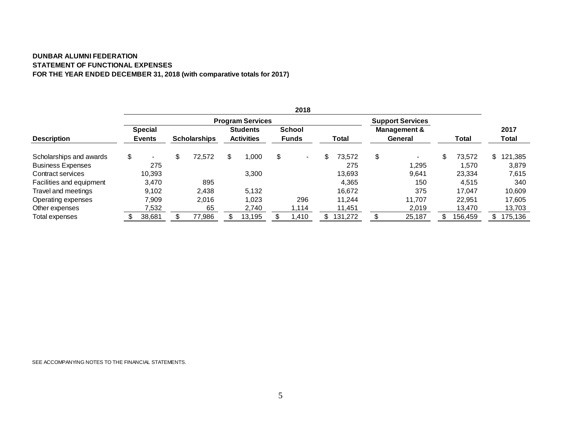#### **DUNBAR ALUMNI FEDERATION STATEMENT OF FUNCTIONAL EXPENSES FOR THE YEAR ENDED DECEMBER 31, 2018 (with comparative totals for 2017)**

|                          |                      |                     |     |                         | 2018                 |               |                         |              |     |         |
|--------------------------|----------------------|---------------------|-----|-------------------------|----------------------|---------------|-------------------------|--------------|-----|---------|
|                          |                      |                     |     | <b>Program Services</b> |                      |               | <b>Support Services</b> |              |     |         |
|                          | <b>Special</b>       |                     |     | <b>Students</b>         | <b>School</b>        |               | <b>Management &amp;</b> |              |     | 2017    |
| <b>Description</b>       | <b>Events</b>        | <b>Scholarships</b> |     | <b>Activities</b>       | <b>Funds</b>         | Total         | General                 | Total        |     | Total   |
| Scholarships and awards  | \$<br>$\blacksquare$ | \$<br>72,572        | \$. | ,000                    | \$<br>$\blacksquare$ | 73.572        | \$<br>$\blacksquare$    | \$<br>73,572 | \$. | 121,385 |
| <b>Business Expenses</b> | 275                  |                     |     |                         |                      | 275           | 1,295                   | 1.570        |     | 3,879   |
| Contract services        | 10,393               |                     |     | 3,300                   |                      | 13,693        | 9.641                   | 23,334       |     | 7,615   |
| Facilities and equipment | 3,470                | 895                 |     |                         |                      | 4,365         | 150                     | 4,515        |     | 340     |
| Travel and meetings      | 9,102                | 2,438               |     | 5,132                   |                      | 16,672        | 375                     | 17.047       |     | 10,609  |
| Operating expenses       | 7.909                | 2.016               |     | 1,023                   | 296                  | 11.244        | 11.707                  | 22.951       |     | 17.605  |
| Other expenses           | 7,532                | 65                  |     | 2,740                   | 1.114                | 11,451        | 2,019                   | 13.470       |     | 13,703  |
| Total expenses           | 38,681               | 77,986              |     | 13,195                  | ,410                 | \$<br>131,272 | 25,187                  | 156,459      | \$. | 175,136 |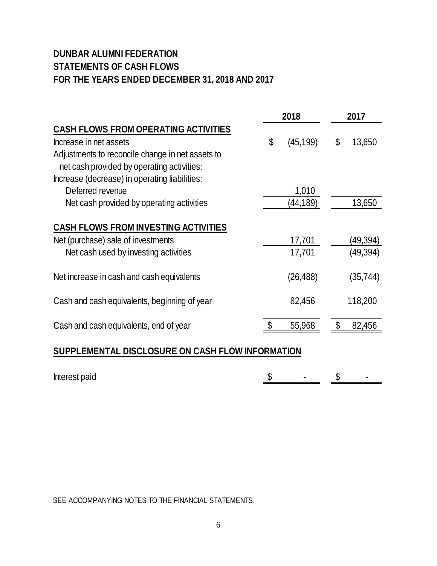# **DUNBAR ALUMNI FEDERATION STATEMENTS OF CASH FLOWS FOR THE YEARS ENDED DECEMBER 31, 2018 AND 2017**

|                                                  | 2018            | 2017 |           |  |
|--------------------------------------------------|-----------------|------|-----------|--|
| <b>CASH FLOWS FROM OPERATING ACTIVITIES</b>      |                 |      |           |  |
| Increase in net assets                           | \$<br>(45, 199) | \$   | 13,650    |  |
| Adjustments to reconcile change in net assets to |                 |      |           |  |
| net cash provided by operating activities:       |                 |      |           |  |
| Increase (decrease) in operating liabilities:    |                 |      |           |  |
| Deferred revenue                                 | 1,010           |      |           |  |
| Net cash provided by operating activities        | (44, 189)       |      | 13,650    |  |
|                                                  |                 |      |           |  |
| <b>CASH FLOWS FROM INVESTING ACTIVITIES</b>      |                 |      |           |  |
| Net (purchase) sale of investments               | 17,701          |      | (49,394)  |  |
| Net cash used by investing activities            | 17,701          |      | (49,394)  |  |
| Net increase in cash and cash equivalents        | (26, 488)       |      | (35, 744) |  |
| Cash and cash equivalents, beginning of year     | 82,456          |      | 118,200   |  |
| Cash and cash equivalents, end of year           | 55,968          |      | 82,456    |  |
| SUPPLEMENTAL DISCLOSURE ON CASH FLOW INFORMATION |                 |      |           |  |

| Interest paid |  | . |  |
|---------------|--|---|--|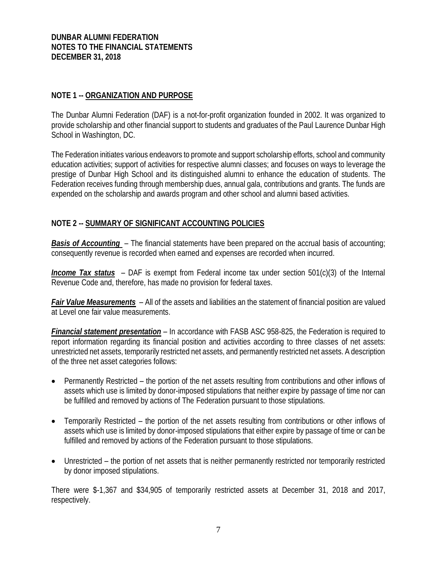### **DUNBAR ALUMNI FEDERATION NOTES TO THE FINANCIAL STATEMENTS DECEMBER 31, 2018**

### **NOTE 1 -- ORGANIZATION AND PURPOSE**

The Dunbar Alumni Federation (DAF) is a not-for-profit organization founded in 2002. It was organized to provide scholarship and other financial support to students and graduates of the Paul Laurence Dunbar High School in Washington, DC.

The Federation initiates various endeavors to promote and support scholarship efforts, school and community education activities; support of activities for respective alumni classes; and focuses on ways to leverage the prestige of Dunbar High School and its distinguished alumni to enhance the education of students. The Federation receives funding through membership dues, annual gala, contributions and grants. The funds are expended on the scholarship and awards program and other school and alumni based activities.

### **NOTE 2 -- SUMMARY OF SIGNIFICANT ACCOUNTING POLICIES**

*Basis of Accounting* – The financial statements have been prepared on the accrual basis of accounting; consequently revenue is recorded when earned and expenses are recorded when incurred.

*Income Tax status* – DAF is exempt from Federal income tax under section 501(c)(3) of the Internal Revenue Code and, therefore, has made no provision for federal taxes.

*Fair Value Measurements* – All of the assets and liabilities an the statement of financial position are valued at Level one fair value measurements.

*Financial statement presentation* – In accordance with FASB ASC 958-825, the Federation is required to report information regarding its financial position and activities according to three classes of net assets: unrestricted net assets, temporarily restricted net assets, and permanently restricted net assets. A description of the three net asset categories follows:

- Permanently Restricted the portion of the net assets resulting from contributions and other inflows of assets which use is limited by donor-imposed stipulations that neither expire by passage of time nor can be fulfilled and removed by actions of The Federation pursuant to those stipulations.
- Temporarily Restricted the portion of the net assets resulting from contributions or other inflows of assets which use is limited by donor-imposed stipulations that either expire by passage of time or can be fulfilled and removed by actions of the Federation pursuant to those stipulations.
- Unrestricted the portion of net assets that is neither permanently restricted nor temporarily restricted by donor imposed stipulations.

There were \$-1,367 and \$34,905 of temporarily restricted assets at December 31, 2018 and 2017, respectively.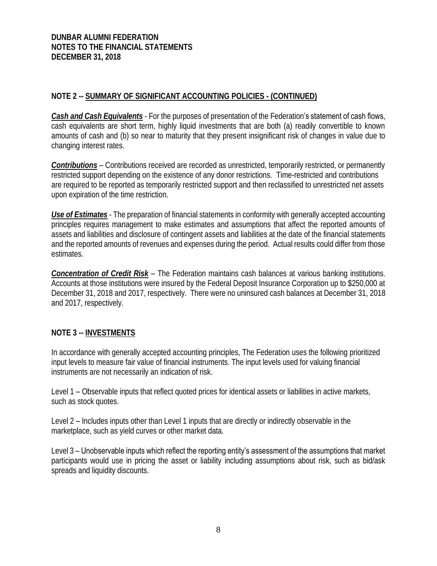### **DUNBAR ALUMNI FEDERATION NOTES TO THE FINANCIAL STATEMENTS DECEMBER 31, 2018**

### **NOTE 2 -- SUMMARY OF SIGNIFICANT ACCOUNTING POLICIES - (CONTINUED)**

*Cash and Cash Equivalents* - For the purposes of presentation of the Federation's statement of cash flows, cash equivalents are short term, highly liquid investments that are both (a) readily convertible to known amounts of cash and (b) so near to maturity that they present insignificant risk of changes in value due to changing interest rates.

*Contributions* – Contributions received are recorded as unrestricted, temporarily restricted, or permanently restricted support depending on the existence of any donor restrictions. Time-restricted and contributions are required to be reported as temporarily restricted support and then reclassified to unrestricted net assets upon expiration of the time restriction.

*Use of Estimates* - The preparation of financial statements in conformity with generally accepted accounting principles requires management to make estimates and assumptions that affect the reported amounts of assets and liabilities and disclosure of contingent assets and liabilities at the date of the financial statements and the reported amounts of revenues and expenses during the period. Actual results could differ from those estimates.

*Concentration of Credit Risk* – The Federation maintains cash balances at various banking institutions. Accounts at those institutions were insured by the Federal Deposit Insurance Corporation up to \$250,000 at December 31, 2018 and 2017, respectively. There were no uninsured cash balances at December 31, 2018 and 2017, respectively.

### **NOTE 3 -- INVESTMENTS**

In accordance with generally accepted accounting principles, The Federation uses the following prioritized input levels to measure fair value of financial instruments. The input levels used for valuing financial instruments are not necessarily an indication of risk.

Level 1 – Observable inputs that reflect quoted prices for identical assets or liabilities in active markets, such as stock quotes.

Level 2 – Includes inputs other than Level 1 inputs that are directly or indirectly observable in the marketplace, such as yield curves or other market data.

Level 3 – Unobservable inputs which reflect the reporting entity's assessment of the assumptions that market participants would use in pricing the asset or liability including assumptions about risk, such as bid/ask spreads and liquidity discounts.